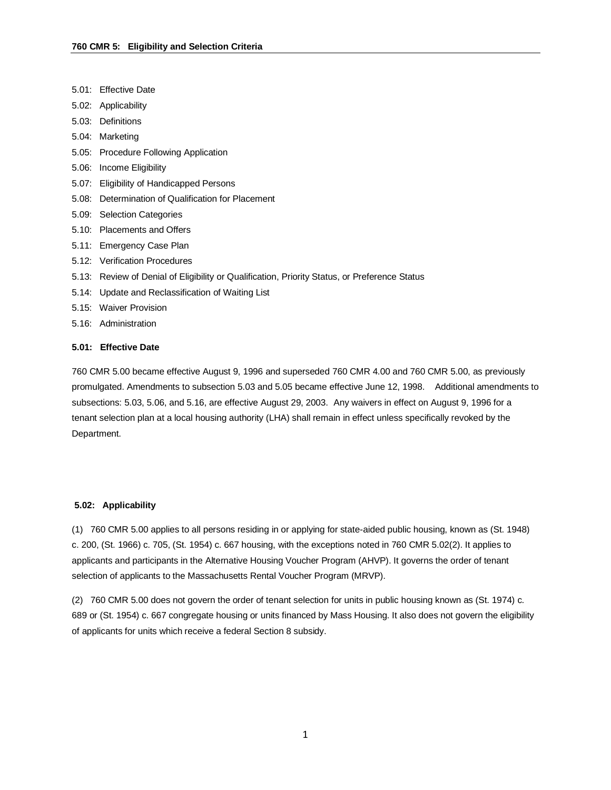- 5.01: Effective Date
- 5.02: Applicability
- 5.03: Definitions
- 5.04: Marketing
- 5.05: Procedure Following Application
- 5.06: Income Eligibility
- 5.07: Eligibility of Handicapped Persons
- 5.08: Determination of Qualification for Placement
- 5.09: Selection Categories
- 5.10: Placements and Offers
- 5.11: Emergency Case Plan
- 5.12: Verification Procedures
- 5.13: Review of Denial of Eligibility or Qualification, Priority Status, or Preference Status
- 5.14: Update and Reclassification of Waiting List
- 5.15: Waiver Provision
- 5.16: Administration

### **5.01: Effective Date**

760 CMR 5.00 became effective August 9, 1996 and superseded 760 CMR 4.00 and 760 CMR 5.00, as previously promulgated. Amendments to subsection 5.03 and 5.05 became effective June 12, 1998. Additional amendments to subsections: 5.03, 5.06, and 5.16, are effective August 29, 2003. Any waivers in effect on August 9, 1996 for a tenant selection plan at a local housing authority (LHA) shall remain in effect unless specifically revoked by the Department.

### **5.02: Applicability**

(1) 760 CMR 5.00 applies to all persons residing in or applying for state-aided public housing, known as (St. 1948) c. 200, (St. 1966) c. 705, (St. 1954) c. 667 housing, with the exceptions noted in 760 CMR 5.02(2). It applies to applicants and participants in the Alternative Housing Voucher Program (AHVP). It governs the order of tenant selection of applicants to the Massachusetts Rental Voucher Program (MRVP).

(2) 760 CMR 5.00 does not govern the order of tenant selection for units in public housing known as (St. 1974) c. 689 or (St. 1954) c. 667 congregate housing or units financed by Mass Housing. It also does not govern the eligibility of applicants for units which receive a federal Section 8 subsidy.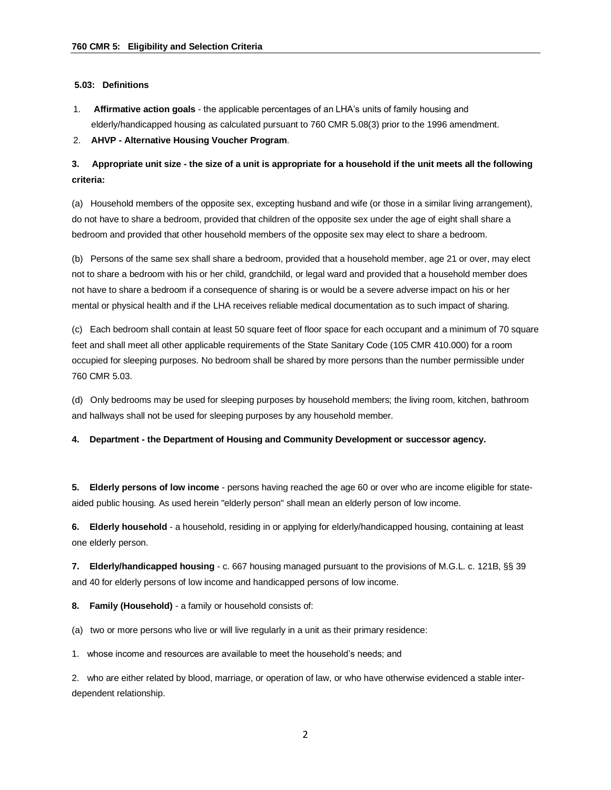### **5.03: Definitions**

1. **Affirmative action goals** - the applicable percentages of an LHA's units of family housing and elderly/handicapped housing as calculated pursuant to 760 CMR 5.08(3) prior to the 1996 amendment.

2. **AHVP - Alternative Housing Voucher Program**.

**3. Appropriate unit size - the size of a unit is appropriate for a household if the unit meets all the following criteria:**

(a) Household members of the opposite sex, excepting husband and wife (or those in a similar living arrangement), do not have to share a bedroom, provided that children of the opposite sex under the age of eight shall share a bedroom and provided that other household members of the opposite sex may elect to share a bedroom.

(b) Persons of the same sex shall share a bedroom, provided that a household member, age 21 or over, may elect not to share a bedroom with his or her child, grandchild, or legal ward and provided that a household member does not have to share a bedroom if a consequence of sharing is or would be a severe adverse impact on his or her mental or physical health and if the LHA receives reliable medical documentation as to such impact of sharing.

(c) Each bedroom shall contain at least 50 square feet of floor space for each occupant and a minimum of 70 square feet and shall meet all other applicable requirements of the State Sanitary Code (105 CMR 410.000) for a room occupied for sleeping purposes. No bedroom shall be shared by more persons than the number permissible under 760 CMR 5.03.

(d) Only bedrooms may be used for sleeping purposes by household members; the living room, kitchen, bathroom and hallways shall not be used for sleeping purposes by any household member.

**4. Department - the Department of Housing and Community Development or successor agency.**

**5. Elderly persons of low income** - persons having reached the age 60 or over who are income eligible for stateaided public housing. As used herein "elderly person" shall mean an elderly person of low income.

**6. Elderly household** - a household, residing in or applying for elderly/handicapped housing, containing at least one elderly person.

**7. Elderly/handicapped housing** - c. 667 housing managed pursuant to the provisions of M.G.L. c. 121B, §§ 39 and 40 for elderly persons of low income and handicapped persons of low income.

**8. Family (Household)** - a family or household consists of:

(a) two or more persons who live or will live regularly in a unit as their primary residence:

1. whose income and resources are available to meet the household's needs; and

2. who are either related by blood, marriage, or operation of law, or who have otherwise evidenced a stable interdependent relationship.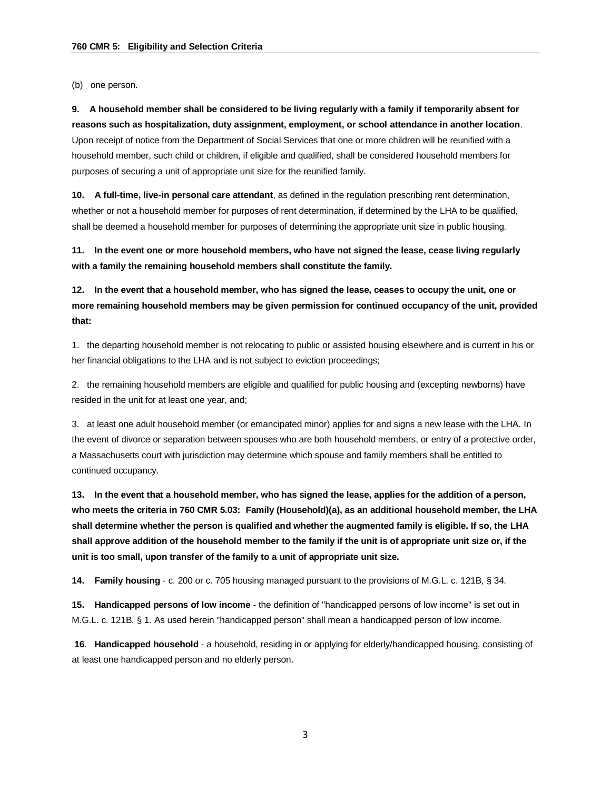(b) one person.

**9. A household member shall be considered to be living regularly with a family if temporarily absent for reasons such as hospitalization, duty assignment, employment, or school attendance in another location**. Upon receipt of notice from the Department of Social Services that one or more children will be reunified with a household member, such child or children, if eligible and qualified, shall be considered household members for purposes of securing a unit of appropriate unit size for the reunified family.

**10. A full-time, live-in personal care attendant**, as defined in the regulation prescribing rent determination, whether or not a household member for purposes of rent determination, if determined by the LHA to be qualified, shall be deemed a household member for purposes of determining the appropriate unit size in public housing.

**11. In the event one or more household members, who have not signed the lease, cease living regularly with a family the remaining household members shall constitute the family.**

**12. In the event that a household member, who has signed the lease, ceases to occupy the unit, one or more remaining household members may be given permission for continued occupancy of the unit, provided that:**

1. the departing household member is not relocating to public or assisted housing elsewhere and is current in his or her financial obligations to the LHA and is not subject to eviction proceedings;

2. the remaining household members are eligible and qualified for public housing and (excepting newborns) have resided in the unit for at least one year, and;

3. at least one adult household member (or emancipated minor) applies for and signs a new lease with the LHA. In the event of divorce or separation between spouses who are both household members, or entry of a protective order, a Massachusetts court with jurisdiction may determine which spouse and family members shall be entitled to continued occupancy.

**13. In the event that a household member, who has signed the lease, applies for the addition of a person, who meets the criteria in 760 CMR 5.03: Family (Household)(a), as an additional household member, the LHA shall determine whether the person is qualified and whether the augmented family is eligible. If so, the LHA shall approve addition of the household member to the family if the unit is of appropriate unit size or, if the unit is too small, upon transfer of the family to a unit of appropriate unit size.**

**14. Family housing** - c. 200 or c. 705 housing managed pursuant to the provisions of M.G.L. c. 121B, § 34.

**15. Handicapped persons of low income** - the definition of "handicapped persons of low income" is set out in M.G.L. c. 121B, § 1. As used herein "handicapped person" shall mean a handicapped person of low income.

**16**. **Handicapped household** - a household, residing in or applying for elderly/handicapped housing, consisting of at least one handicapped person and no elderly person.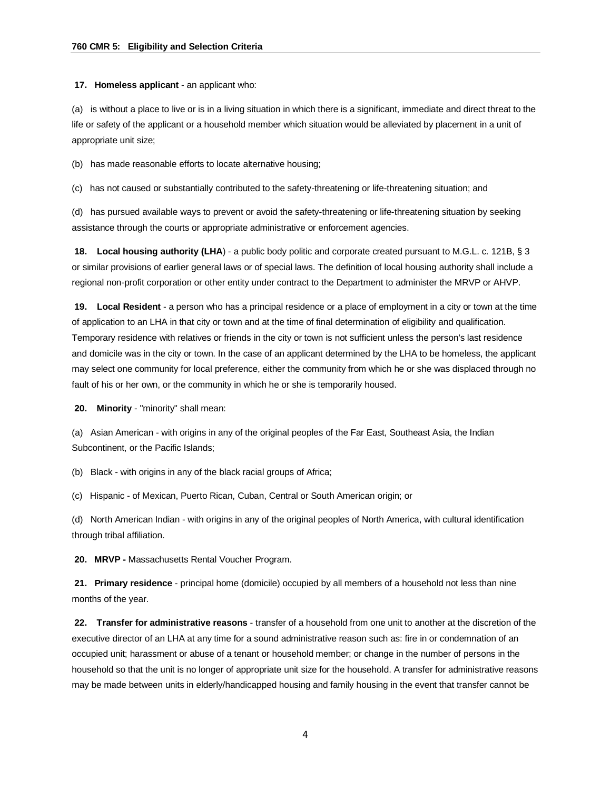**17. Homeless applicant** - an applicant who:

(a) is without a place to live or is in a living situation in which there is a significant, immediate and direct threat to the life or safety of the applicant or a household member which situation would be alleviated by placement in a unit of appropriate unit size;

(b) has made reasonable efforts to locate alternative housing;

(c) has not caused or substantially contributed to the safety-threatening or life-threatening situation; and

(d) has pursued available ways to prevent or avoid the safety-threatening or life-threatening situation by seeking assistance through the courts or appropriate administrative or enforcement agencies.

**18. Local housing authority (LHA**) - a public body politic and corporate created pursuant to M.G.L. c. 121B, § 3 or similar provisions of earlier general laws or of special laws. The definition of local housing authority shall include a regional non-profit corporation or other entity under contract to the Department to administer the MRVP or AHVP.

**19. Local Resident** - a person who has a principal residence or a place of employment in a city or town at the time of application to an LHA in that city or town and at the time of final determination of eligibility and qualification. Temporary residence with relatives or friends in the city or town is not sufficient unless the person's last residence and domicile was in the city or town. In the case of an applicant determined by the LHA to be homeless, the applicant may select one community for local preference, either the community from which he or she was displaced through no fault of his or her own, or the community in which he or she is temporarily housed.

**20. Minority** - "minority" shall mean:

(a) Asian American - with origins in any of the original peoples of the Far East, Southeast Asia, the Indian Subcontinent, or the Pacific Islands;

(b) Black - with origins in any of the black racial groups of Africa;

(c) Hispanic - of Mexican, Puerto Rican, Cuban, Central or South American origin; or

(d) North American Indian - with origins in any of the original peoples of North America, with cultural identification through tribal affiliation.

**20. MRVP -** Massachusetts Rental Voucher Program.

**21. Primary residence** - principal home (domicile) occupied by all members of a household not less than nine months of the year.

**22. Transfer for administrative reasons** - transfer of a household from one unit to another at the discretion of the executive director of an LHA at any time for a sound administrative reason such as: fire in or condemnation of an occupied unit; harassment or abuse of a tenant or household member; or change in the number of persons in the household so that the unit is no longer of appropriate unit size for the household. A transfer for administrative reasons may be made between units in elderly/handicapped housing and family housing in the event that transfer cannot be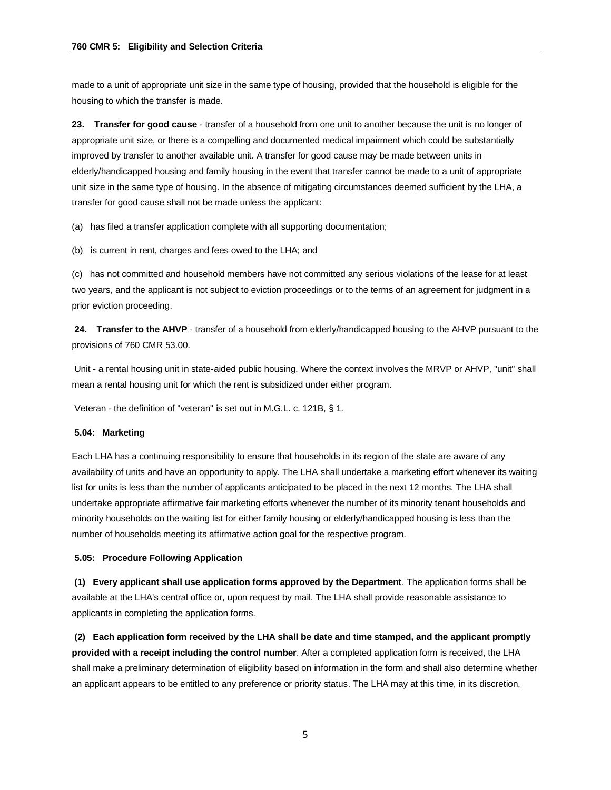made to a unit of appropriate unit size in the same type of housing, provided that the household is eligible for the housing to which the transfer is made.

**23. Transfer for good cause** - transfer of a household from one unit to another because the unit is no longer of appropriate unit size, or there is a compelling and documented medical impairment which could be substantially improved by transfer to another available unit. A transfer for good cause may be made between units in elderly/handicapped housing and family housing in the event that transfer cannot be made to a unit of appropriate unit size in the same type of housing. In the absence of mitigating circumstances deemed sufficient by the LHA, a transfer for good cause shall not be made unless the applicant:

(a) has filed a transfer application complete with all supporting documentation;

(b) is current in rent, charges and fees owed to the LHA; and

(c) has not committed and household members have not committed any serious violations of the lease for at least two years, and the applicant is not subject to eviction proceedings or to the terms of an agreement for judgment in a prior eviction proceeding.

**24. Transfer to the AHVP** - transfer of a household from elderly/handicapped housing to the AHVP pursuant to the provisions of 760 CMR 53.00.

Unit - a rental housing unit in state-aided public housing. Where the context involves the MRVP or AHVP, "unit" shall mean a rental housing unit for which the rent is subsidized under either program.

Veteran - the definition of "veteran" is set out in M.G.L. c. 121B, § 1.

### **5.04: Marketing**

Each LHA has a continuing responsibility to ensure that households in its region of the state are aware of any availability of units and have an opportunity to apply. The LHA shall undertake a marketing effort whenever its waiting list for units is less than the number of applicants anticipated to be placed in the next 12 months. The LHA shall undertake appropriate affirmative fair marketing efforts whenever the number of its minority tenant households and minority households on the waiting list for either family housing or elderly/handicapped housing is less than the number of households meeting its affirmative action goal for the respective program.

#### **5.05: Procedure Following Application**

**(1) Every applicant shall use application forms approved by the Department**. The application forms shall be available at the LHA's central office or, upon request by mail. The LHA shall provide reasonable assistance to applicants in completing the application forms.

**(2) Each application form received by the LHA shall be date and time stamped, and the applicant promptly provided with a receipt including the control number**. After a completed application form is received, the LHA shall make a preliminary determination of eligibility based on information in the form and shall also determine whether an applicant appears to be entitled to any preference or priority status. The LHA may at this time, in its discretion,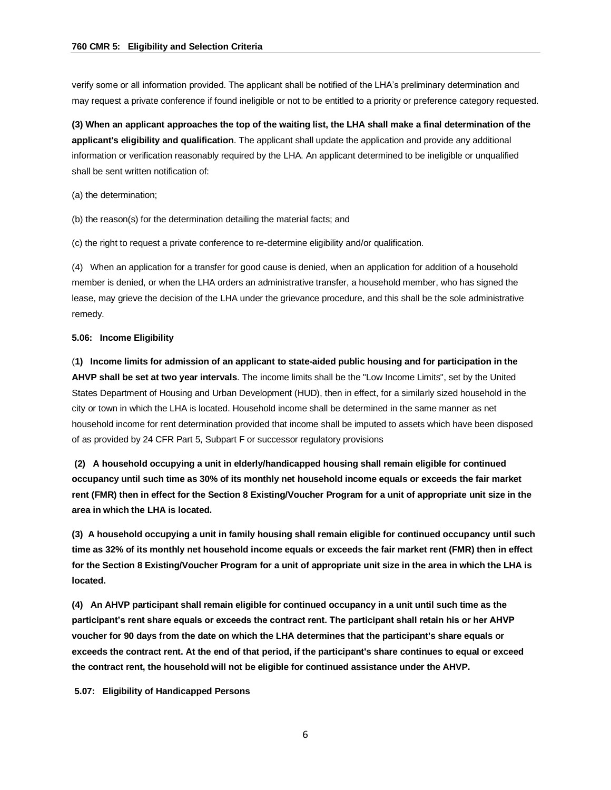verify some or all information provided. The applicant shall be notified of the LHA's preliminary determination and may request a private conference if found ineligible or not to be entitled to a priority or preference category requested.

**(3) When an applicant approaches the top of the waiting list, the LHA shall make a final determination of the applicant's eligibility and qualification**. The applicant shall update the application and provide any additional information or verification reasonably required by the LHA. An applicant determined to be ineligible or unqualified shall be sent written notification of:

(a) the determination;

(b) the reason(s) for the determination detailing the material facts; and

(c) the right to request a private conference to re-determine eligibility and/or qualification.

(4) When an application for a transfer for good cause is denied, when an application for addition of a household member is denied, or when the LHA orders an administrative transfer, a household member, who has signed the lease, may grieve the decision of the LHA under the grievance procedure, and this shall be the sole administrative remedy.

#### **5.06: Income Eligibility**

(**1) Income limits for admission of an applicant to state-aided public housing and for participation in the AHVP shall be set at two year intervals**. The income limits shall be the "Low Income Limits", set by the United States Department of Housing and Urban Development (HUD), then in effect, for a similarly sized household in the city or town in which the LHA is located. Household income shall be determined in the same manner as net household income for rent determination provided that income shall be imputed to assets which have been disposed of as provided by 24 CFR Part 5, Subpart F or successor regulatory provisions

**(2) A household occupying a unit in elderly/handicapped housing shall remain eligible for continued occupancy until such time as 30% of its monthly net household income equals or exceeds the fair market rent (FMR) then in effect for the Section 8 Existing/Voucher Program for a unit of appropriate unit size in the area in which the LHA is located.**

**(3) A household occupying a unit in family housing shall remain eligible for continued occupancy until such time as 32% of its monthly net household income equals or exceeds the fair market rent (FMR) then in effect for the Section 8 Existing/Voucher Program for a unit of appropriate unit size in the area in which the LHA is located.**

**(4) An AHVP participant shall remain eligible for continued occupancy in a unit until such time as the participant's rent share equals or exceeds the contract rent. The participant shall retain his or her AHVP voucher for 90 days from the date on which the LHA determines that the participant's share equals or exceeds the contract rent. At the end of that period, if the participant's share continues to equal or exceed the contract rent, the household will not be eligible for continued assistance under the AHVP.**

**5.07: Eligibility of Handicapped Persons**

6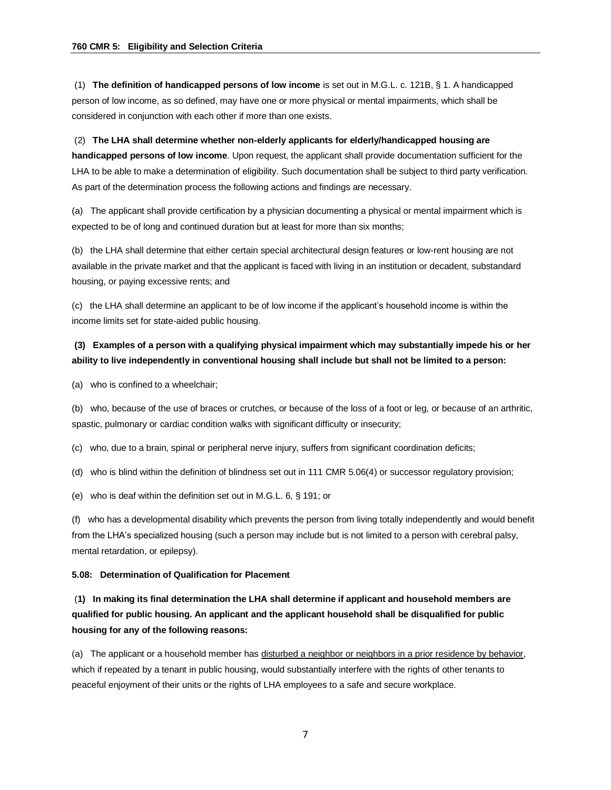(1) **The definition of handicapped persons of low income** is set out in M.G.L. c. 121B, § 1. A handicapped person of low income, as so defined, may have one or more physical or mental impairments, which shall be considered in conjunction with each other if more than one exists.

(2) **The LHA shall determine whether non-elderly applicants for elderly/handicapped housing are handicapped persons of low income**. Upon request, the applicant shall provide documentation sufficient for the LHA to be able to make a determination of eligibility. Such documentation shall be subject to third party verification. As part of the determination process the following actions and findings are necessary.

(a) The applicant shall provide certification by a physician documenting a physical or mental impairment which is expected to be of long and continued duration but at least for more than six months;

(b) the LHA shall determine that either certain special architectural design features or low-rent housing are not available in the private market and that the applicant is faced with living in an institution or decadent, substandard housing, or paying excessive rents; and

(c) the LHA shall determine an applicant to be of low income if the applicant's household income is within the income limits set for state-aided public housing.

# **(3) Examples of a person with a qualifying physical impairment which may substantially impede his or her ability to live independently in conventional housing shall include but shall not be limited to a person:**

(a) who is confined to a wheelchair;

(b) who, because of the use of braces or crutches, or because of the loss of a foot or leg, or because of an arthritic, spastic, pulmonary or cardiac condition walks with significant difficulty or insecurity;

(c) who, due to a brain, spinal or peripheral nerve injury, suffers from significant coordination deficits;

(d) who is blind within the definition of blindness set out in 111 CMR 5.06(4) or successor regulatory provision;

(e) who is deaf within the definition set out in M.G.L. 6, § 191; or

(f) who has a developmental disability which prevents the person from living totally independently and would benefit from the LHA's specialized housing (such a person may include but is not limited to a person with cerebral palsy, mental retardation, or epilepsy).

## **5.08: Determination of Qualification for Placement**

# (**1) In making its final determination the LHA shall determine if applicant and household members are qualified for public housing. An applicant and the applicant household shall be disqualified for public housing for any of the following reasons:**

(a) The applicant or a household member has disturbed a neighbor or neighbors in a prior residence by behavior, which if repeated by a tenant in public housing, would substantially interfere with the rights of other tenants to peaceful enjoyment of their units or the rights of LHA employees to a safe and secure workplace.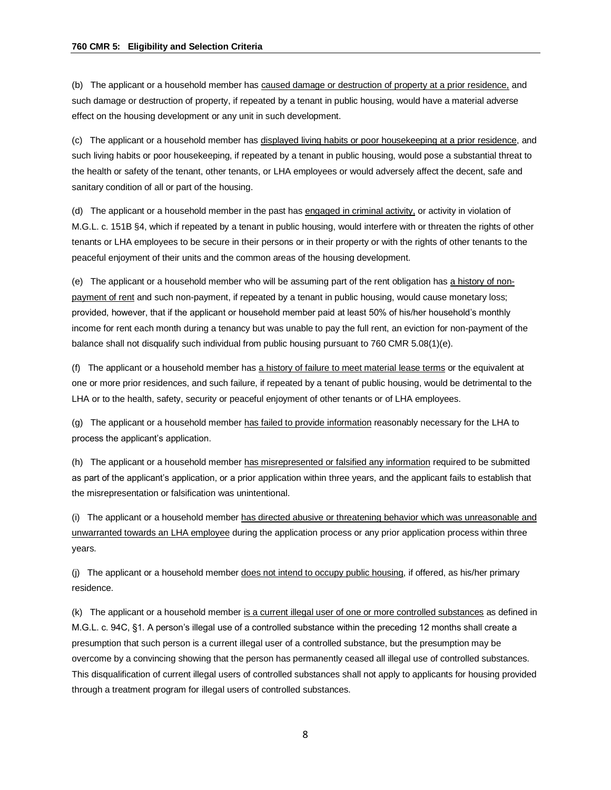(b) The applicant or a household member has caused damage or destruction of property at a prior residence, and such damage or destruction of property, if repeated by a tenant in public housing, would have a material adverse effect on the housing development or any unit in such development.

(c) The applicant or a household member has displayed living habits or poor housekeeping at a prior residence, and such living habits or poor housekeeping, if repeated by a tenant in public housing, would pose a substantial threat to the health or safety of the tenant, other tenants, or LHA employees or would adversely affect the decent, safe and sanitary condition of all or part of the housing.

(d) The applicant or a household member in the past has engaged in criminal activity, or activity in violation of M.G.L. c. 151B §4, which if repeated by a tenant in public housing, would interfere with or threaten the rights of other tenants or LHA employees to be secure in their persons or in their property or with the rights of other tenants to the peaceful enjoyment of their units and the common areas of the housing development.

(e) The applicant or a household member who will be assuming part of the rent obligation has a history of nonpayment of rent and such non-payment, if repeated by a tenant in public housing, would cause monetary loss; provided, however, that if the applicant or household member paid at least 50% of his/her household's monthly income for rent each month during a tenancy but was unable to pay the full rent, an eviction for non-payment of the balance shall not disqualify such individual from public housing pursuant to 760 CMR 5.08(1)(e).

(f) The applicant or a household member has a history of failure to meet material lease terms or the equivalent at one or more prior residences, and such failure, if repeated by a tenant of public housing, would be detrimental to the LHA or to the health, safety, security or peaceful enjoyment of other tenants or of LHA employees.

(g) The applicant or a household member has failed to provide information reasonably necessary for the LHA to process the applicant's application.

(h) The applicant or a household member has misrepresented or falsified any information required to be submitted as part of the applicant's application, or a prior application within three years, and the applicant fails to establish that the misrepresentation or falsification was unintentional.

(i) The applicant or a household member has directed abusive or threatening behavior which was unreasonable and unwarranted towards an LHA employee during the application process or any prior application process within three years.

(j) The applicant or a household member does not intend to occupy public housing, if offered, as his/her primary residence.

(k) The applicant or a household member is a current illegal user of one or more controlled substances as defined in M.G.L. c. 94C, §1. A person's illegal use of a controlled substance within the preceding 12 months shall create a presumption that such person is a current illegal user of a controlled substance, but the presumption may be overcome by a convincing showing that the person has permanently ceased all illegal use of controlled substances. This disqualification of current illegal users of controlled substances shall not apply to applicants for housing provided through a treatment program for illegal users of controlled substances.

8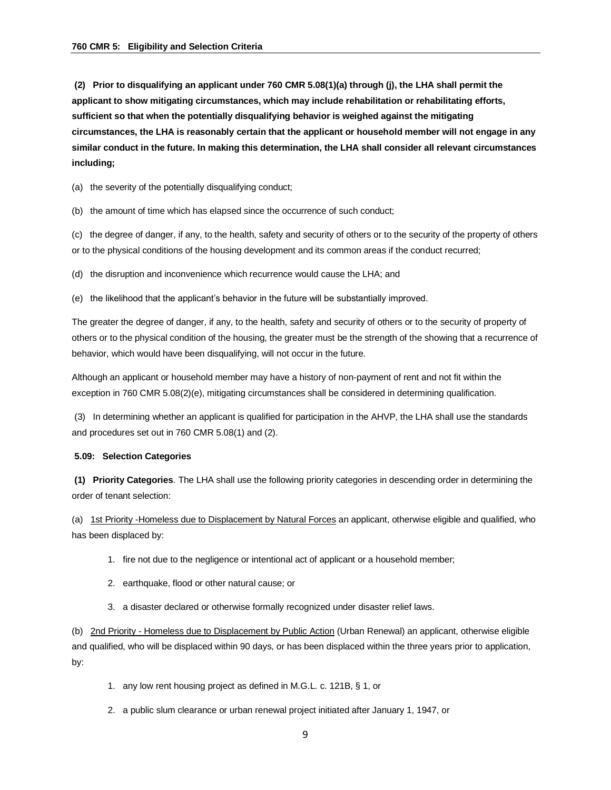**(2) Prior to disqualifying an applicant under 760 CMR 5.08(1)(a) through (j), the LHA shall permit the applicant to show mitigating circumstances, which may include rehabilitation or rehabilitating efforts, sufficient so that when the potentially disqualifying behavior is weighed against the mitigating circumstances, the LHA is reasonably certain that the applicant or household member will not engage in any similar conduct in the future. In making this determination, the LHA shall consider all relevant circumstances including;**

(a) the severity of the potentially disqualifying conduct;

(b) the amount of time which has elapsed since the occurrence of such conduct;

(c) the degree of danger, if any, to the health, safety and security of others or to the security of the property of others or to the physical conditions of the housing development and its common areas if the conduct recurred;

(d) the disruption and inconvenience which recurrence would cause the LHA; and

(e) the likelihood that the applicant's behavior in the future will be substantially improved.

The greater the degree of danger, if any, to the health, safety and security of others or to the security of property of others or to the physical condition of the housing, the greater must be the strength of the showing that a recurrence of behavior, which would have been disqualifying, will not occur in the future.

Although an applicant or household member may have a history of non-payment of rent and not fit within the exception in 760 CMR 5.08(2)(e), mitigating circumstances shall be considered in determining qualification.

(3) In determining whether an applicant is qualified for participation in the AHVP, the LHA shall use the standards and procedures set out in 760 CMR 5.08(1) and (2).

### **5.09: Selection Categories**

**(1) Priority Categories**. The LHA shall use the following priority categories in descending order in determining the order of tenant selection:

(a) 1st Priority -Homeless due to Displacement by Natural Forces an applicant, otherwise eligible and qualified, who has been displaced by:

- 1. fire not due to the negligence or intentional act of applicant or a household member;
- 2. earthquake, flood or other natural cause; or
- 3. a disaster declared or otherwise formally recognized under disaster relief laws.

(b) 2nd Priority - Homeless due to Displacement by Public Action (Urban Renewal) an applicant, otherwise eligible and qualified, who will be displaced within 90 days, or has been displaced within the three years prior to application, by:

- 1. any low rent housing project as defined in M.G.L. c. 121B, § 1, or
- 2. a public slum clearance or urban renewal project initiated after January 1, 1947, or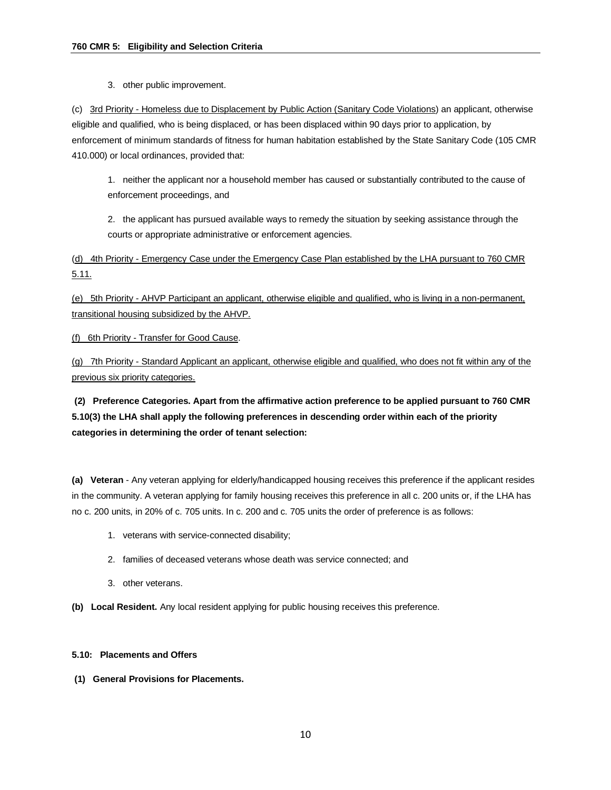3. other public improvement.

(c) 3rd Priority - Homeless due to Displacement by Public Action (Sanitary Code Violations) an applicant, otherwise eligible and qualified, who is being displaced, or has been displaced within 90 days prior to application, by enforcement of minimum standards of fitness for human habitation established by the State Sanitary Code (105 CMR 410.000) or local ordinances, provided that:

1. neither the applicant nor a household member has caused or substantially contributed to the cause of enforcement proceedings, and

2. the applicant has pursued available ways to remedy the situation by seeking assistance through the courts or appropriate administrative or enforcement agencies.

(d) 4th Priority - Emergency Case under the Emergency Case Plan established by the LHA pursuant to 760 CMR 5.11.

(e) 5th Priority - AHVP Participant an applicant, otherwise eligible and qualified, who is living in a non-permanent, transitional housing subsidized by the AHVP.

(f) 6th Priority - Transfer for Good Cause.

(g) 7th Priority - Standard Applicant an applicant, otherwise eligible and qualified, who does not fit within any of the previous six priority categories.

**(2) Preference Categories. Apart from the affirmative action preference to be applied pursuant to 760 CMR 5.10(3) the LHA shall apply the following preferences in descending order within each of the priority categories in determining the order of tenant selection:**

**(a) Veteran** - Any veteran applying for elderly/handicapped housing receives this preference if the applicant resides in the community. A veteran applying for family housing receives this preference in all c. 200 units or, if the LHA has no c. 200 units, in 20% of c. 705 units. In c. 200 and c. 705 units the order of preference is as follows:

- 1. veterans with service-connected disability;
- 2. families of deceased veterans whose death was service connected; and
- 3. other veterans.
- **(b) Local Resident.** Any local resident applying for public housing receives this preference.

### **5.10: Placements and Offers**

**(1) General Provisions for Placements.**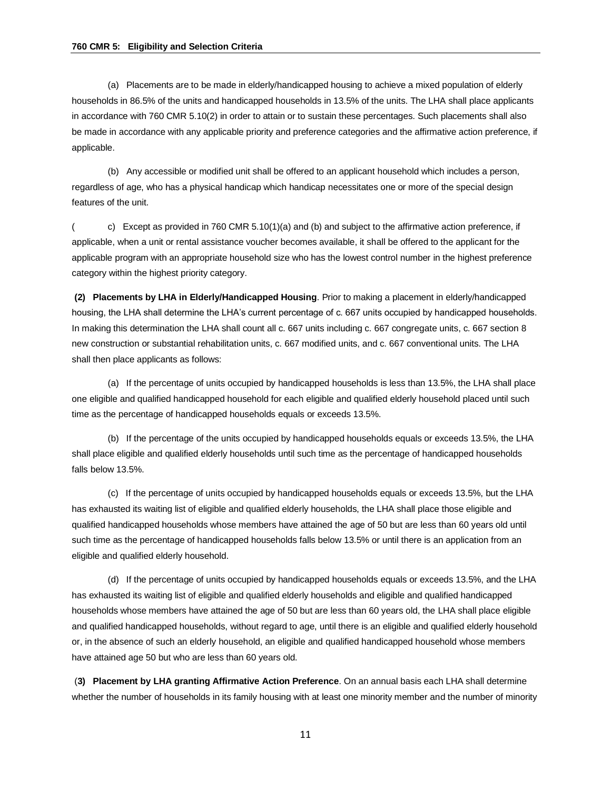(a) Placements are to be made in elderly/handicapped housing to achieve a mixed population of elderly households in 86.5% of the units and handicapped households in 13.5% of the units. The LHA shall place applicants in accordance with 760 CMR 5.10(2) in order to attain or to sustain these percentages. Such placements shall also be made in accordance with any applicable priority and preference categories and the affirmative action preference, if applicable.

(b) Any accessible or modified unit shall be offered to an applicant household which includes a person, regardless of age, who has a physical handicap which handicap necessitates one or more of the special design features of the unit.

( c) Except as provided in 760 CMR 5.10(1)(a) and (b) and subject to the affirmative action preference, if applicable, when a unit or rental assistance voucher becomes available, it shall be offered to the applicant for the applicable program with an appropriate household size who has the lowest control number in the highest preference category within the highest priority category.

**(2) Placements by LHA in Elderly/Handicapped Housing**. Prior to making a placement in elderly/handicapped housing, the LHA shall determine the LHA's current percentage of c. 667 units occupied by handicapped households. In making this determination the LHA shall count all c. 667 units including c. 667 congregate units, c. 667 section 8 new construction or substantial rehabilitation units, c. 667 modified units, and c. 667 conventional units. The LHA shall then place applicants as follows:

(a) If the percentage of units occupied by handicapped households is less than 13.5%, the LHA shall place one eligible and qualified handicapped household for each eligible and qualified elderly household placed until such time as the percentage of handicapped households equals or exceeds 13.5%.

(b) If the percentage of the units occupied by handicapped households equals or exceeds 13.5%, the LHA shall place eligible and qualified elderly households until such time as the percentage of handicapped households falls below 13.5%.

(c) If the percentage of units occupied by handicapped households equals or exceeds 13.5%, but the LHA has exhausted its waiting list of eligible and qualified elderly households, the LHA shall place those eligible and qualified handicapped households whose members have attained the age of 50 but are less than 60 years old until such time as the percentage of handicapped households falls below 13.5% or until there is an application from an eligible and qualified elderly household.

(d) If the percentage of units occupied by handicapped households equals or exceeds 13.5%, and the LHA has exhausted its waiting list of eligible and qualified elderly households and eligible and qualified handicapped households whose members have attained the age of 50 but are less than 60 years old, the LHA shall place eligible and qualified handicapped households, without regard to age, until there is an eligible and qualified elderly household or, in the absence of such an elderly household, an eligible and qualified handicapped household whose members have attained age 50 but who are less than 60 years old.

(**3) Placement by LHA granting Affirmative Action Preference**. On an annual basis each LHA shall determine whether the number of households in its family housing with at least one minority member and the number of minority

11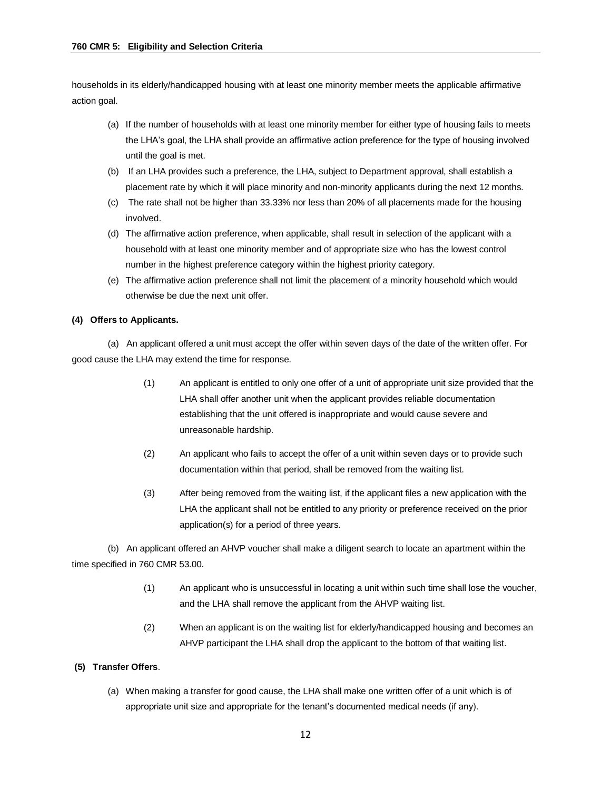households in its elderly/handicapped housing with at least one minority member meets the applicable affirmative action goal.

- (a) If the number of households with at least one minority member for either type of housing fails to meets the LHA's goal, the LHA shall provide an affirmative action preference for the type of housing involved until the goal is met.
- (b) If an LHA provides such a preference, the LHA, subject to Department approval, shall establish a placement rate by which it will place minority and non-minority applicants during the next 12 months.
- (c) The rate shall not be higher than 33.33% nor less than 20% of all placements made for the housing involved.
- (d) The affirmative action preference, when applicable, shall result in selection of the applicant with a household with at least one minority member and of appropriate size who has the lowest control number in the highest preference category within the highest priority category.
- (e) The affirmative action preference shall not limit the placement of a minority household which would otherwise be due the next unit offer.

## **(4) Offers to Applicants.**

(a) An applicant offered a unit must accept the offer within seven days of the date of the written offer. For good cause the LHA may extend the time for response.

- (1) An applicant is entitled to only one offer of a unit of appropriate unit size provided that the LHA shall offer another unit when the applicant provides reliable documentation establishing that the unit offered is inappropriate and would cause severe and unreasonable hardship.
- (2) An applicant who fails to accept the offer of a unit within seven days or to provide such documentation within that period, shall be removed from the waiting list.
- (3) After being removed from the waiting list, if the applicant files a new application with the LHA the applicant shall not be entitled to any priority or preference received on the prior application(s) for a period of three years.

(b) An applicant offered an AHVP voucher shall make a diligent search to locate an apartment within the time specified in 760 CMR 53.00.

- (1) An applicant who is unsuccessful in locating a unit within such time shall lose the voucher, and the LHA shall remove the applicant from the AHVP waiting list.
- (2) When an applicant is on the waiting list for elderly/handicapped housing and becomes an AHVP participant the LHA shall drop the applicant to the bottom of that waiting list.

## **(5) Transfer Offers**.

(a) When making a transfer for good cause, the LHA shall make one written offer of a unit which is of appropriate unit size and appropriate for the tenant's documented medical needs (if any).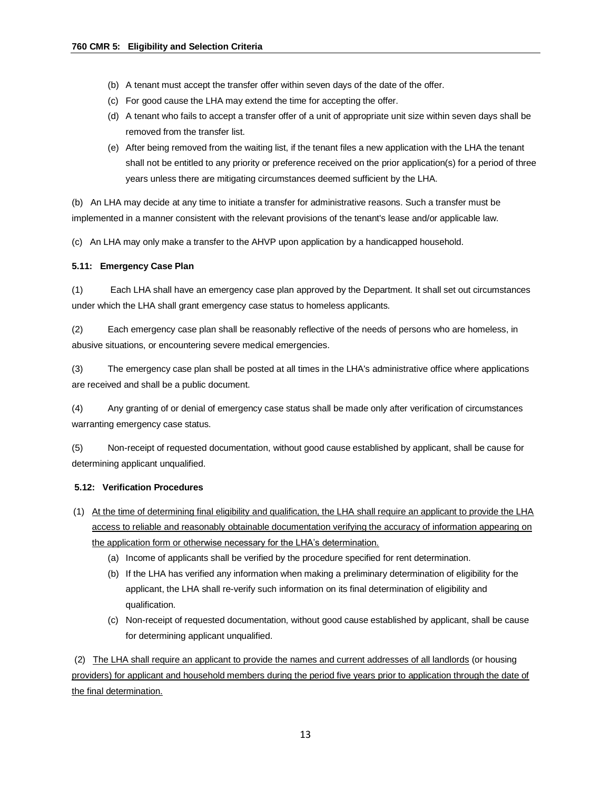- (b) A tenant must accept the transfer offer within seven days of the date of the offer.
- (c) For good cause the LHA may extend the time for accepting the offer.
- (d) A tenant who fails to accept a transfer offer of a unit of appropriate unit size within seven days shall be removed from the transfer list.
- (e) After being removed from the waiting list, if the tenant files a new application with the LHA the tenant shall not be entitled to any priority or preference received on the prior application(s) for a period of three years unless there are mitigating circumstances deemed sufficient by the LHA.

(b) An LHA may decide at any time to initiate a transfer for administrative reasons. Such a transfer must be implemented in a manner consistent with the relevant provisions of the tenant's lease and/or applicable law.

(c) An LHA may only make a transfer to the AHVP upon application by a handicapped household.

### **5.11: Emergency Case Plan**

(1) Each LHA shall have an emergency case plan approved by the Department. It shall set out circumstances under which the LHA shall grant emergency case status to homeless applicants.

(2) Each emergency case plan shall be reasonably reflective of the needs of persons who are homeless, in abusive situations, or encountering severe medical emergencies.

(3) The emergency case plan shall be posted at all times in the LHA's administrative office where applications are received and shall be a public document.

(4) Any granting of or denial of emergency case status shall be made only after verification of circumstances warranting emergency case status.

(5) Non-receipt of requested documentation, without good cause established by applicant, shall be cause for determining applicant unqualified.

## **5.12: Verification Procedures**

- (1) At the time of determining final eligibility and qualification, the LHA shall require an applicant to provide the LHA access to reliable and reasonably obtainable documentation verifying the accuracy of information appearing on the application form or otherwise necessary for the LHA's determination.
	- (a) Income of applicants shall be verified by the procedure specified for rent determination.
	- (b) If the LHA has verified any information when making a preliminary determination of eligibility for the applicant, the LHA shall re-verify such information on its final determination of eligibility and qualification.
	- (c) Non-receipt of requested documentation, without good cause established by applicant, shall be cause for determining applicant unqualified.

(2) The LHA shall require an applicant to provide the names and current addresses of all landlords (or housing providers) for applicant and household members during the period five years prior to application through the date of the final determination.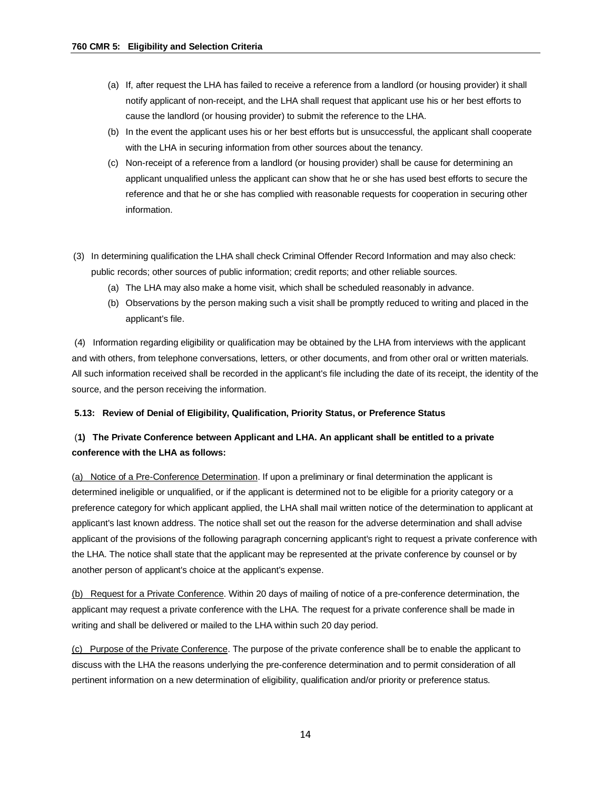- (a) If, after request the LHA has failed to receive a reference from a landlord (or housing provider) it shall notify applicant of non-receipt, and the LHA shall request that applicant use his or her best efforts to cause the landlord (or housing provider) to submit the reference to the LHA.
- (b) In the event the applicant uses his or her best efforts but is unsuccessful, the applicant shall cooperate with the LHA in securing information from other sources about the tenancy.
- (c) Non-receipt of a reference from a landlord (or housing provider) shall be cause for determining an applicant unqualified unless the applicant can show that he or she has used best efforts to secure the reference and that he or she has complied with reasonable requests for cooperation in securing other information.
- (3) In determining qualification the LHA shall check Criminal Offender Record Information and may also check: public records; other sources of public information; credit reports; and other reliable sources.
	- (a) The LHA may also make a home visit, which shall be scheduled reasonably in advance.
	- (b) Observations by the person making such a visit shall be promptly reduced to writing and placed in the applicant's file.

(4) Information regarding eligibility or qualification may be obtained by the LHA from interviews with the applicant and with others, from telephone conversations, letters, or other documents, and from other oral or written materials. All such information received shall be recorded in the applicant's file including the date of its receipt, the identity of the source, and the person receiving the information.

### **5.13: Review of Denial of Eligibility, Qualification, Priority Status, or Preference Status**

# (**1) The Private Conference between Applicant and LHA. An applicant shall be entitled to a private conference with the LHA as follows:**

(a) Notice of a Pre-Conference Determination. If upon a preliminary or final determination the applicant is determined ineligible or unqualified, or if the applicant is determined not to be eligible for a priority category or a preference category for which applicant applied, the LHA shall mail written notice of the determination to applicant at applicant's last known address. The notice shall set out the reason for the adverse determination and shall advise applicant of the provisions of the following paragraph concerning applicant's right to request a private conference with the LHA. The notice shall state that the applicant may be represented at the private conference by counsel or by another person of applicant's choice at the applicant's expense.

(b) Request for a Private Conference. Within 20 days of mailing of notice of a pre-conference determination, the applicant may request a private conference with the LHA. The request for a private conference shall be made in writing and shall be delivered or mailed to the LHA within such 20 day period.

(c) Purpose of the Private Conference. The purpose of the private conference shall be to enable the applicant to discuss with the LHA the reasons underlying the pre-conference determination and to permit consideration of all pertinent information on a new determination of eligibility, qualification and/or priority or preference status.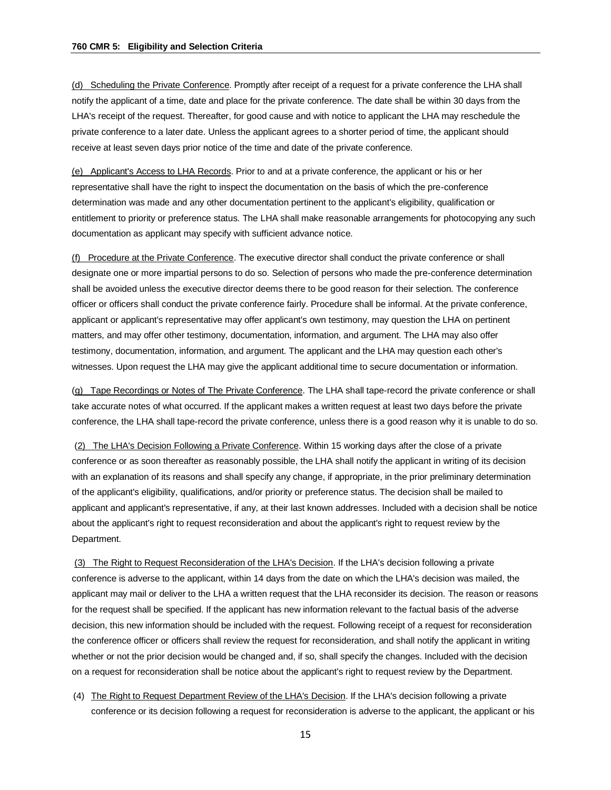(d) Scheduling the Private Conference. Promptly after receipt of a request for a private conference the LHA shall notify the applicant of a time, date and place for the private conference. The date shall be within 30 days from the LHA's receipt of the request. Thereafter, for good cause and with notice to applicant the LHA may reschedule the private conference to a later date. Unless the applicant agrees to a shorter period of time, the applicant should receive at least seven days prior notice of the time and date of the private conference.

(e) Applicant's Access to LHA Records. Prior to and at a private conference, the applicant or his or her representative shall have the right to inspect the documentation on the basis of which the pre-conference determination was made and any other documentation pertinent to the applicant's eligibility, qualification or entitlement to priority or preference status. The LHA shall make reasonable arrangements for photocopying any such documentation as applicant may specify with sufficient advance notice.

(f) Procedure at the Private Conference. The executive director shall conduct the private conference or shall designate one or more impartial persons to do so. Selection of persons who made the pre-conference determination shall be avoided unless the executive director deems there to be good reason for their selection. The conference officer or officers shall conduct the private conference fairly. Procedure shall be informal. At the private conference, applicant or applicant's representative may offer applicant's own testimony, may question the LHA on pertinent matters, and may offer other testimony, documentation, information, and argument. The LHA may also offer testimony, documentation, information, and argument. The applicant and the LHA may question each other's witnesses. Upon request the LHA may give the applicant additional time to secure documentation or information.

(g) Tape Recordings or Notes of The Private Conference. The LHA shall tape-record the private conference or shall take accurate notes of what occurred. If the applicant makes a written request at least two days before the private conference, the LHA shall tape-record the private conference, unless there is a good reason why it is unable to do so.

(2) The LHA's Decision Following a Private Conference. Within 15 working days after the close of a private conference or as soon thereafter as reasonably possible, the LHA shall notify the applicant in writing of its decision with an explanation of its reasons and shall specify any change, if appropriate, in the prior preliminary determination of the applicant's eligibility, qualifications, and/or priority or preference status. The decision shall be mailed to applicant and applicant's representative, if any, at their last known addresses. Included with a decision shall be notice about the applicant's right to request reconsideration and about the applicant's right to request review by the Department.

(3) The Right to Request Reconsideration of the LHA's Decision. If the LHA's decision following a private conference is adverse to the applicant, within 14 days from the date on which the LHA's decision was mailed, the applicant may mail or deliver to the LHA a written request that the LHA reconsider its decision. The reason or reasons for the request shall be specified. If the applicant has new information relevant to the factual basis of the adverse decision, this new information should be included with the request. Following receipt of a request for reconsideration the conference officer or officers shall review the request for reconsideration, and shall notify the applicant in writing whether or not the prior decision would be changed and, if so, shall specify the changes. Included with the decision on a request for reconsideration shall be notice about the applicant's right to request review by the Department.

(4) The Right to Request Department Review of the LHA's Decision. If the LHA's decision following a private conference or its decision following a request for reconsideration is adverse to the applicant, the applicant or his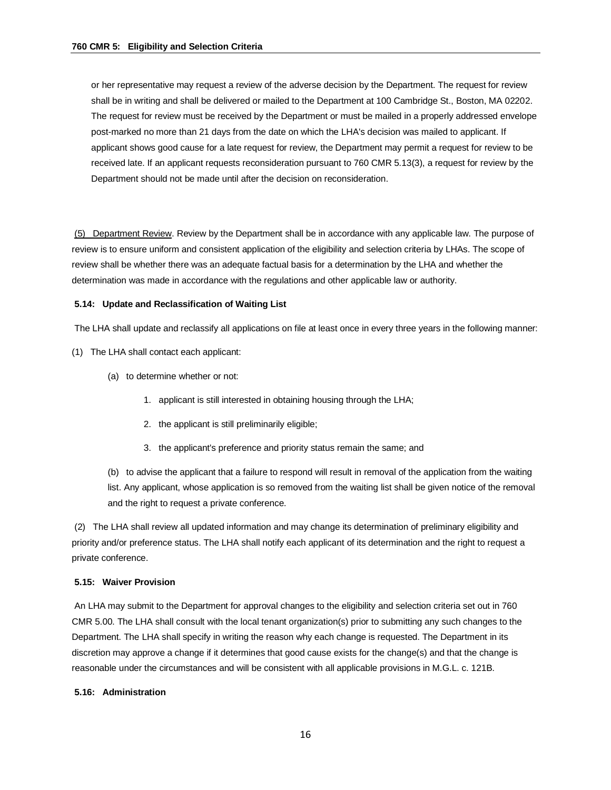or her representative may request a review of the adverse decision by the Department. The request for review shall be in writing and shall be delivered or mailed to the Department at 100 Cambridge St., Boston, MA 02202. The request for review must be received by the Department or must be mailed in a properly addressed envelope post-marked no more than 21 days from the date on which the LHA's decision was mailed to applicant. If applicant shows good cause for a late request for review, the Department may permit a request for review to be received late. If an applicant requests reconsideration pursuant to 760 CMR 5.13(3), a request for review by the Department should not be made until after the decision on reconsideration.

(5) Department Review. Review by the Department shall be in accordance with any applicable law. The purpose of review is to ensure uniform and consistent application of the eligibility and selection criteria by LHAs. The scope of review shall be whether there was an adequate factual basis for a determination by the LHA and whether the determination was made in accordance with the regulations and other applicable law or authority.

#### **5.14: Update and Reclassification of Waiting List**

The LHA shall update and reclassify all applications on file at least once in every three years in the following manner:

- (1) The LHA shall contact each applicant:
	- (a) to determine whether or not:
		- 1. applicant is still interested in obtaining housing through the LHA;
		- 2. the applicant is still preliminarily eligible;
		- 3. the applicant's preference and priority status remain the same; and

(b) to advise the applicant that a failure to respond will result in removal of the application from the waiting list. Any applicant, whose application is so removed from the waiting list shall be given notice of the removal and the right to request a private conference.

(2) The LHA shall review all updated information and may change its determination of preliminary eligibility and priority and/or preference status. The LHA shall notify each applicant of its determination and the right to request a private conference.

### **5.15: Waiver Provision**

An LHA may submit to the Department for approval changes to the eligibility and selection criteria set out in 760 CMR 5.00. The LHA shall consult with the local tenant organization(s) prior to submitting any such changes to the Department. The LHA shall specify in writing the reason why each change is requested. The Department in its discretion may approve a change if it determines that good cause exists for the change(s) and that the change is reasonable under the circumstances and will be consistent with all applicable provisions in M.G.L. c. 121B.

### **5.16: Administration**